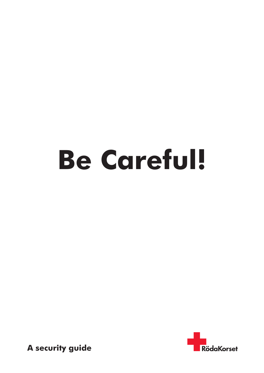# **Be Careful!**



 **A security guide**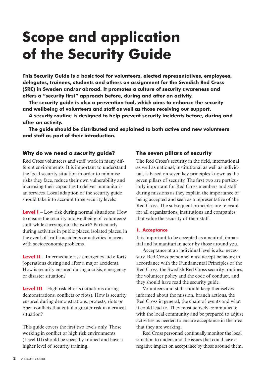# **Scope and application of the Security Guide**

**This Security Guide is a basic tool for volunteers, elected representatives, employees, delegates, trainees, students and others on assignment for the Swedish Red Cross (SRC) in Sweden and/or abroad. It promotes a culture of security awareness and offers a "security first" approach before, during and after an activity.**

**The security guide is also a prevention tool, which aims to enhance the security and wellbeing of volunteers and staff as well as those receiving our support.** 

**A security routine is designed to help prevent security incidents before, during and after an activity.**

**The guide should be distributed and explained to both active and new volunteers and staff as part of their introduction.**

#### **Why do we need a security guide?**

Red Cross volunteers and staff work in many different environments. It is important to understand the local security situation in order to minimise risks they face, reduce their own vulnerability and increasing their capacities to deliver humanitarian services. Local adaption of the security guide should take into account three security levels:

**Level I** – Low risk during normal situations. How to ensure the security and wellbeing of volunteers/ staff while carrying out the work? Particularly during activities in public places, isolated places, in the event of traffic accidents or activities in areas with socioeconomic problems.

**Level II** – Intermediate risk emergency aid efforts (operations during and after a major accident). How is security ensured during a crisis, emergency or disaster situation?

**Level III** – High risk efforts (situations during demonstrations, conflicts or riots). How is security ensured during demonstrations, protests, riots or open conflicts that entail a greater risk in a critical situation?

This guide covers the first two levels only. Those working in conflict or high risk environments (Level III) should be specially trained and have a higher level of security training.

#### **The seven pillars of security**

The Red Cross's security in the field, international as well as national, institutional as well as individual, is based on seven key principles known as the seven pillars of security. The first two are particularly important for Red Cross members and staff during missions as they explain the importance of being accepted and seen as a representative of the Red Cross. The subsequent principles are relevant for all organisations, institutions and companies that value the security of their staff.

#### **1. Acceptance**

It is important to be accepted as a neutral, impartial and humanitarian actor by those around you.

Acceptance at an individual level is also necessary. Red Cross personnel must accept behaving in accordance with the Fundamental Principles of the Red Cross, the Swedish Red Cross security routines, the volunteer policy and the code of conduct, and they should have read the security guide.

Volunteers and staff should keep themselves informed about the mission, branch actions, the Red Cross in general, the chain of events and what it could lead to. They must actively communicate with the local community and be prepared to adjust activities as needed to ensure acceptance in the area that they are working.

Red Cross personnel continually monitor the local situation to understand the issues that could have a negative impact on acceptance by those around them.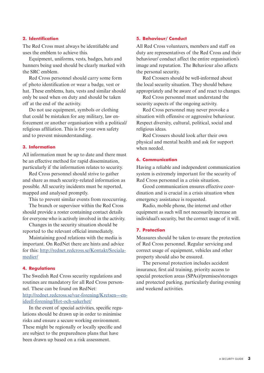#### **2. Identification**

The Red Cross must always be identifiable and uses the emblem to achieve this.

Equipment, uniforms, vests, badges, hats and banners being used should be clearly marked with the SRC emblem.

Red Cross personnel should carry some form of photo identification or wear a badge, vest or hat. These emblems, hats, vests and similar should only be used when on duty and should be taken off at the end of the activity.

Do not use equipment, symbols or clothing that could be mistaken for any military, law enforcement or another organisation with a political/ religious affiliation. This is for your own safety and to prevent misunderstanding.

#### **3. Information**

All information must be up to date and there must be an effective method for rapid dissemination, particularly if the information relates to security.

Red Cross personnel should strive to gather and share as much security-related information as possible. All security incidents must be reported, mapped and analysed promptly.

This to prevent similar events from reoccurring.

The branch or supervisor within the Red Cross should provide a roster containing contact details for everyone who is actively involved in the activity.

Changes in the security situation should be reported to the relevant official immediately.

Maintaining good relations with the media is important. On RedNet there are hints and advice for this: [http://rednet.redcross.se/Kontakt/Sociala](http://rednet.redcross.se/Kontakt/Sociala-medier/)[medier/](http://rednet.redcross.se/Kontakt/Sociala-medier/)

#### **4. Regulations**

The Swedish Red Cross security regulations and routines are mandatory for all Red Cross personnel. These can be found on RedNet: [http://rednet.redcross.se/var-forening/Kretsen---en](http://rednet.redcross.se/var-forening/Kretsen---en-ideell-forening/Hot-och-sakerhet/)[ideell-forening/Hot-och-sakerhet/](http://rednet.redcross.se/var-forening/Kretsen---en-ideell-forening/Hot-och-sakerhet/)

In the event of special activities, specific regulations should be drawn up in order to minimise risks and ensure a secure working environment. These might be regionally or locally specific and are subject to the preparedness plans that have been drawn up based on a risk assessment.

#### **5. Behaviour/ Conduct**

All Red Cross volunteers, members and staff on duty are representatives of the Red Cross and their behaviour/ conduct affect the entire organisation's image and reputation. The Behaviour also affects the personal security.

Red Crossers should be well-informed about the local security situation. They should behave appropriately and be aware of and react to changes.

Red Cross personnel must understand the security aspects of the ongoing activity.

Red Cross personnel may never provoke a situation with offensive or aggressive behaviour. Respect diversity, cultural, political, social and religious ideas.

Red Crossers should look after their own physical and mental health and ask for support when needed.

#### **6. Communication**

Having a reliable and independent communication system is extremely important for the security of Red Cross personnel in a crisis situation.

Good communication ensures effective coordination and is crucial in a crisis situation when emergency assistance is requested.

Radio, mobile phone, the internet and other equipment as such will not necessarily increase an individual's security, but the correct usage of it will.

#### **7. Protection**

Measures should be taken to ensure the protection of Red Cross personnel. Regular servicing and correct usage of equipment, vehicles and other property should also be ensured.

The personal protection includes accident insurance, first aid training, priority access to special protection areas (SPAs)/premises/storages and protected parking, particularly during evening and weekend activities.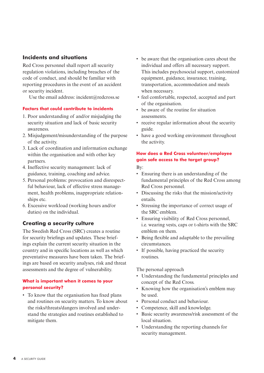#### **Incidents and situations**

Red Cross personnel shall report all security regulation violations, including breaches of the code of conduct, and should be familiar with reporting procedures in the event of an accident or security incident.

Use the email address: incident@redcross.se

#### **Factors that could contribute to incidents**

- 1. Poor understanding of and/or misjudging the security situation and lack of basic security awareness.
- 2. Misjudgement/misunderstanding of the purpose of the activity.
- 3. Lack of coordination and information exchange within the organisation and with other key partners.
- 4. Ineffective security management: lack of guidance, training, coaching and advice.
- 5. Personal problems: provocation and disrespectful behaviour, lack of effective stress management, health problems, inappropriate relationships etc.
- 6. Excessive workload (working hours and/or duties) on the individual.

#### **Creating a security culture**

The Swedish Red Cross (SRC) creates a routine for security briefings and updates. These briefings explain the current security situation in the country and in specific locations as well as which preventative measures have been taken. The briefings are based on security analyses, risk and threat assessments and the degree of vulnerability.

#### **What is important when it comes to your personal security?**

• To know that the organisation has fixed plans and routines on security matters. To know about the risks/threats/dangers involved and understand the strategies and routines established to mitigate them.

- be aware that the organisation cares about the individual and offers all necessary support. This includes psychosocial support, customized equipment, guidance, insurance, training, transportation, accommodation and meals when necessary.
- feel comfortable, respected, accepted and part of the organisation.
- be aware of the routine for situation assessments.
- receive regular information about the security guide.
- have a good working environment throughout the activity.

#### **How does a Red Cross volunteer/employee gain safe access to the target group?**

By:

- Ensuring there is an understanding of the fundamental principles of the Red Cross among Red Cross personnel.
- Discussing the risks that the mission/activity entails.
- Stressing the importance of correct usage of the SRC emblem.
- Ensuring visibility of Red Cross personnel, i.e. wearing vests, caps or t-shirts with the SRC emblem on them.
- Being flexible and adaptable to the prevailing circumstances.
- If possible, having practiced the security routines.

The personal approach

- Understanding the fundamental principles and concept of the Red Cross.
- Knowing how the organisation's emblem may be used.
- Personal conduct and behaviour.
- Competence, skill and knowledge.
- Basic security awareness/risk assessment of the local situation.
- Understanding the reporting channels for security management.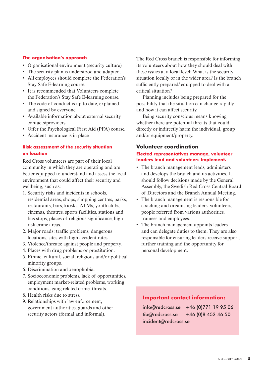#### **The organisation's approach**

- Organisational environment (security culture)
- The security plan is understood and adapted.
- All employees should complete the Federation's Stay Safe E-learning course.
- It is recommended that Volunteers complete the Federation's Stay Safe E-learning course.
- The code of conduct is up to date, explained and signed by everyone.
- Available information about external security contacts/providers.
- Offer the Psychological First Aid (PFA) course.
- Accident insurance is in place.

#### **Risk assessment of the security situation on location**

Red Cross volunteers are part of their local community in which they are operating and are better equipped to understand and assess the local environment that could affect their security and wellbeing, such as:

- 1. Security risks and incidents in schools, residential areas, shops, shopping centres, parks, restaurants, bars, kiosks, ATMs, youth clubs, cinemas, theatres, sports facilities, stations and bus stops, places of religious significance, high risk crime areas.
- 2. Major roads: traffic problems, dangerous locations, sites with high accident rates.
- 3. Violence/threats: against people and property.
- 4. Places with drug problems or prostitution.
- 5. Ethnic, cultural, social, religious and/or political minority groups.
- 6. Discrimination and xenophobia.
- 7. Socioeconomic problems, lack of opportunities, employment market-related problems, working conditions, gang related crime, threats.
- 8. Health risks due to stress.
- 9. Relationships with law enforcement, government authorities, guards and other security actors (formal and informal).

The Red Cross branch is responsible for informing its volunteers about how they should deal with these issues at a local level: What is the security situation locally or in the wider area? Is the branch sufficiently prepared/ equipped to deal with a critical situation?

Planning includes being prepared for the possibility that the situation can change rapidly and how it can affect security.

Being security conscious means knowing whether there are potential threats that could directly or indirectly harm the individual, group and/or equipment/property.

#### **Volunteer coordination**

#### **Elected representatives manage, volunteer leaders lead and volunteers implement.**

- The branch management leads, administers and develops the branch and its activities. It should follow decisions made by the General Assembly, the Swedish Red Cross Central Board of Directors and the Branch Annual Meeting.
- The branch management is responsible for coaching and organising leaders, volunteers, people referred from various authorities, trainees and employees.
- The branch management appoints leaders and can delegate duties to them. They are also responsible for ensuring leaders receive support, further training and the opportunity for personal development.

#### **Important contact information:**

info@redcross.se +46 (0)771 19 95 06  $tib@redcross.se +46 (0)8 452 46 50$ incident@redcross.se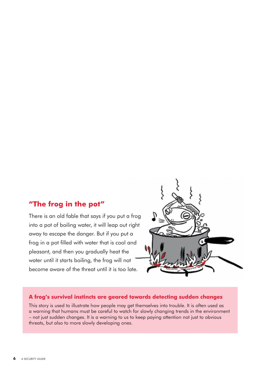### **"The frog in the pot"**

There is an old fable that says if you put a frog into a pot of boiling water, it will leap out right away to escape the danger. But if you put a frog in a pot filled with water that is cool and pleasant, and then you gradually heat the water until it starts boiling, the frog will not become aware of the threat until it is too late.



#### **A frog's survival instincts are geared towards detecting sudden changes**

This story is used to illustrate how people may get themselves into trouble. It is often used as a warning that humans must be careful to watch for slowly changing trends in the environment – not just sudden changes. It is a warning to us to keep paying attention not just to obvious threats, but also to more slowly developing ones.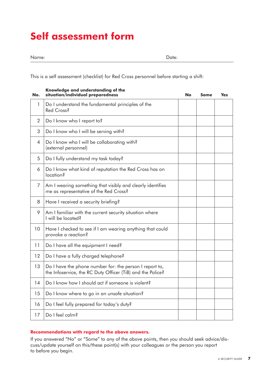# **Self assessment form**

This is a self assessment (checklist) for Red Cross personnel before starting a shift:

| No. | , Kina A<br>situation/individual preparedness                                                                         | No | <b>Some</b> | <b>Yes</b> |
|-----|-----------------------------------------------------------------------------------------------------------------------|----|-------------|------------|
| 1   | Do I understand the fundamental principles of the<br>Red Cross?                                                       |    |             |            |
| 2   | Do I know who I report to?                                                                                            |    |             |            |
| 3   | Do I know who I will be serving with?                                                                                 |    |             |            |
| 4   | Do I know who I will be collaborating with?<br>(external personnel)                                                   |    |             |            |
| 5   | Do I fully understand my task today?                                                                                  |    |             |            |
| 6   | Do I know what kind of reputation the Red Cross has on<br>location?                                                   |    |             |            |
| 7   | Am I wearing something that visibly and clearly identifies<br>me as representative of the Red Cross?                  |    |             |            |
| 8   | Have I received a security briefing?                                                                                  |    |             |            |
| 9   | Am I familiar with the current security situation where<br>I will be located?                                         |    |             |            |
| 10  | Have I checked to see if I am wearing anything that could<br>provoke a reaction?                                      |    |             |            |
| 11  | Do I have all the equipment I need?                                                                                   |    |             |            |
| 12  | Do I have a fully charged telephone?                                                                                  |    |             |            |
| 13  | Do I have the phone number for: the person I report to,<br>the Infoservice, the RC Duty Officer (TiB) and the Police? |    |             |            |
| 14  | Do I know how I should act if someone is violent?                                                                     |    |             |            |
| 15  | Do I know where to go in an unsafe situation?                                                                         |    |             |            |
| 16  | Do I feel fully prepared for today's duty?                                                                            |    |             |            |
| 17  | Do I feel calm?                                                                                                       |    |             |            |

## **Knowledge and understanding of the**

#### **Recommendations with regard to the above answers.**

If you answered "No" or "Some" to any of the above points, then you should seek advice/discuss/update yourself on this/these point(s) with your colleagues or the person you report to before you begin.